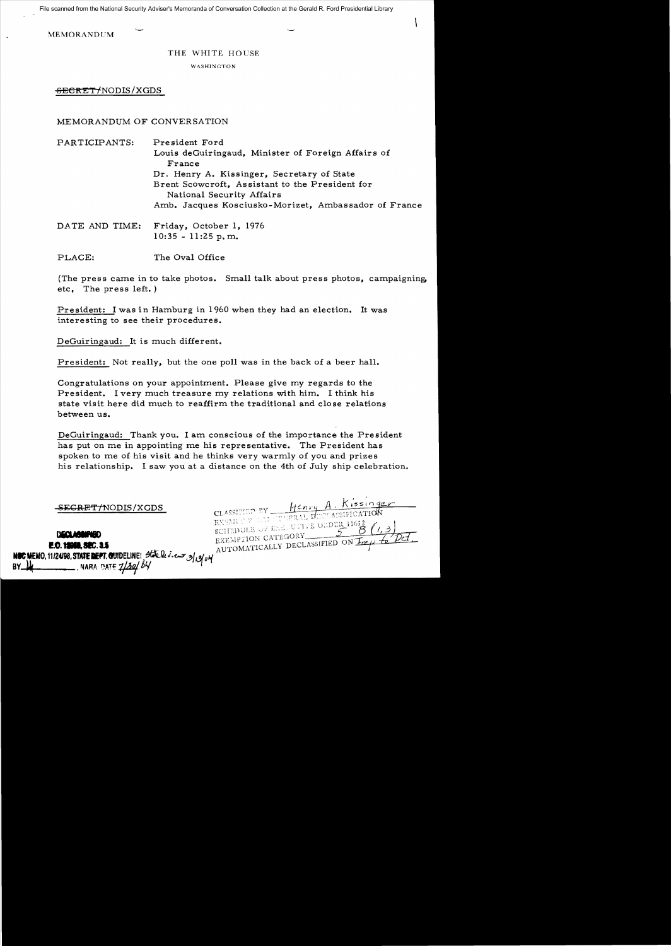File scanned from the National Security Adviser's Memoranda of Conversation Collection at the Gerald R. Ford Presidential Library

MEMORANDUM

## THE WHITE HOUSE

WASHINGTON

SECRET/NODIS/XGDS

MEMORANDUM OF CONVERSATION

PARTICIPANTS: President Ford Louis deGuiringaud, Minister of Foreign Affairs of France Dr. Henry A. Kissinger, Secretary of State Brent Scowcroft, Assistant to the President for National Security Affairs Amb. Jacques Kosciusko-Morizet, Ambassador of France

DATE AND TIME: Friday, October 1, 1976 10:35 - 11:25 p. m.

PLACE: The Oval Office

(The press came in to take photos. Small talk about press photos, campaigning, etc, The press left. )

President: I was in Hamburg in 1960 when they had an election. It was interesting to see their procedures.

DeGuiringaud: It is much different.

President: Not really, but the one poll was in the back of a beer hall.

Congratulations on your appointment. Please give my regards to the President. I very much treasure my relations with him. I think his state visit here did much to reaffirm the traditional and close relations between us.

DeGuiringaud: Thank you. I am conscious of the importance the President has put on me in appointing me his representative. The President has spoken to me of his visit and he thinks very warmly of you and prizes his relationship. I saw you at a distance on the 4th of July ship celebration.

<del>SECRET/N</del>ODIS/XGDS

**DECLARATED** 

CLASSIFIED BY Henry A. Kissinger<br>EXEMPLE CLASSIFICATION<br>EXEMPLE CLASSIFICATION SCHEDOLE OF EXELUTIVE ORDER EXEMPTION CATEGORY EXEMPTION CATEGORY

**E.O. 12088, SEC. 3.5** NSC MEMO, 11/24/98, STATE DEPT. QUIDELINE! State le v. eux 3/13/04 NARA DATE  $7/30/64$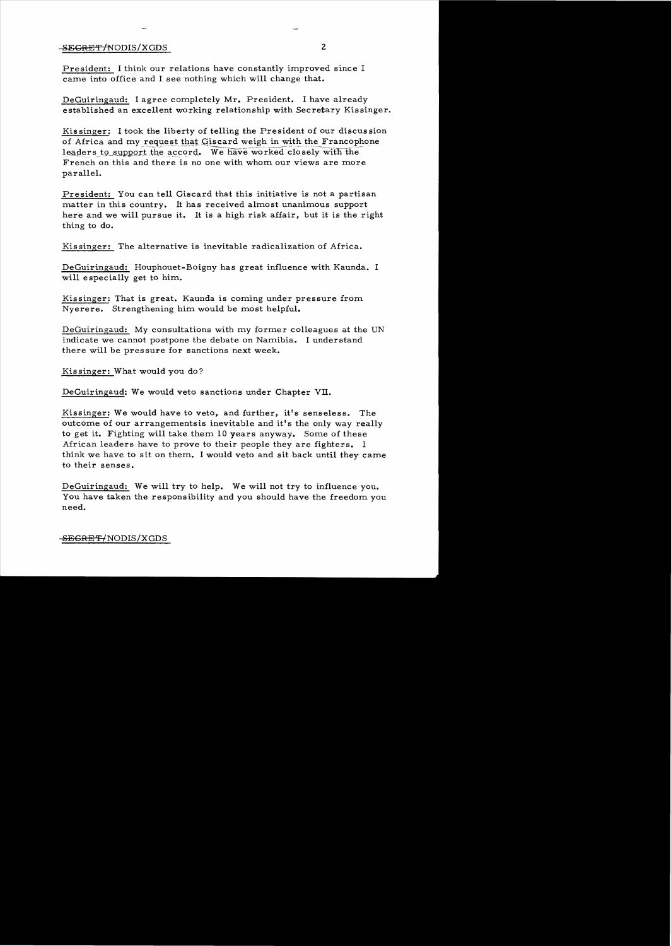## $-SEGRET/NODIS/XGDS$  2

President: I think our relations have constantly improved since I came into office and I see nothing which will change that.

DeGuiringaud: I agree completely Mr. President. I have already established an excellent working relationship with Secretary Kissinger.

Kissinger: I took the liberty of telling the President of our discussion of Africa and my request that Giscard weigh in with the Francophone leaders to support the accord. We have worked closely with the French on this and there is no one with whom our views are more parallel.

President: You can tell Giscard that this initiative is not a partisan matter in this country. It has received almost unanimous support here and we will pursue it. It is a high risk affair, but it is the right thing to do.

Kis singer: The alternative is inevitable radicalization of Africa.

DeGuiringaud: Houphouet-Boigny has great influence with Kaunda. I will e specially get to him.

Kissinger: That is great. Kaunda is coming under pressure from Nyerere. Strengthening him would be most helpful.

DeGuiringaud: My consultations with my former colleagues at the UN indicate we cannot postpone the debate on Namibia. I understand there will be pressure for sanctions next week.

Kissinger: What would you do?

DeGuiringaud: We would veto sanctions under Chapter VII.

Kissinger: We would have to veto, and further, it's senseless. The outcome of our arrangementsis inevitable and it's the only way really to get it. Fighting will take them 10 years anyway. Some of these African leaders have to prove to their people they are fighters. I think we have to sit on them. I would veto and sit back until they came to their senses.

DeGuiringaud: We will try to help. We will not try to influence you. You have taken the responsibility and you should have the freedom you need.

<del>-SEGRET/</del>NODIS/XGDS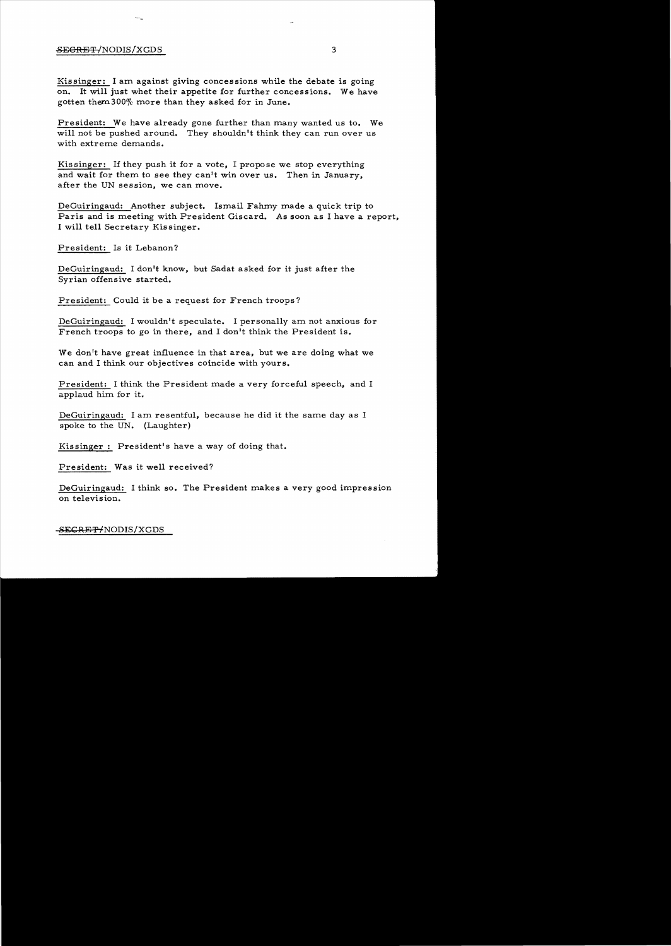## SECRET/NODIS/XGDS 3

Kissinger: I am against giving concessions while the debate is going on. It will just whet their appetite for further concessions. We have gotten them  $300\%$  more than they asked for in June.

President: We have already gone further than many wanted us to. We will not be pushed around. They shouldn't think they can run over us with extreme demands.

Kis singer: If they push it for a vote, I propose we stop everything and wait for them to see they can't win over us. Then in January, after the UN session, we can move.

DeGuiringaud: Another subject. Ismail Fahmy made a quick trip to Paris and is meeting with President Giscard. As soon as I have a report, I will tell Secretary Kissinger.

President: Is it Lebanon?

DeGuiringaud: I don't know, but Sadat asked for it just after the Syrian offensive started.

President: Could it be a request for French troops?

DeGuiringaud: I wouldn't speculate. I personally am not anxious for French troops to go in there, and I don't think the President is.

We don't have great influence in that area, but we are doing what we can and I think our objectives coincide with yours.

President: I think the President made a very forceful speech, and I applaud him for it.

DeGuiringaud: I am resentful, because he did it the same day as I spoke to the UN. (Laughter)

Kissinger: President's have a way of doing that.

President: Was it well received?

DeGuiringaud: I think so. The President makes a very good impression on television.

SECRET/NODIS/XGDS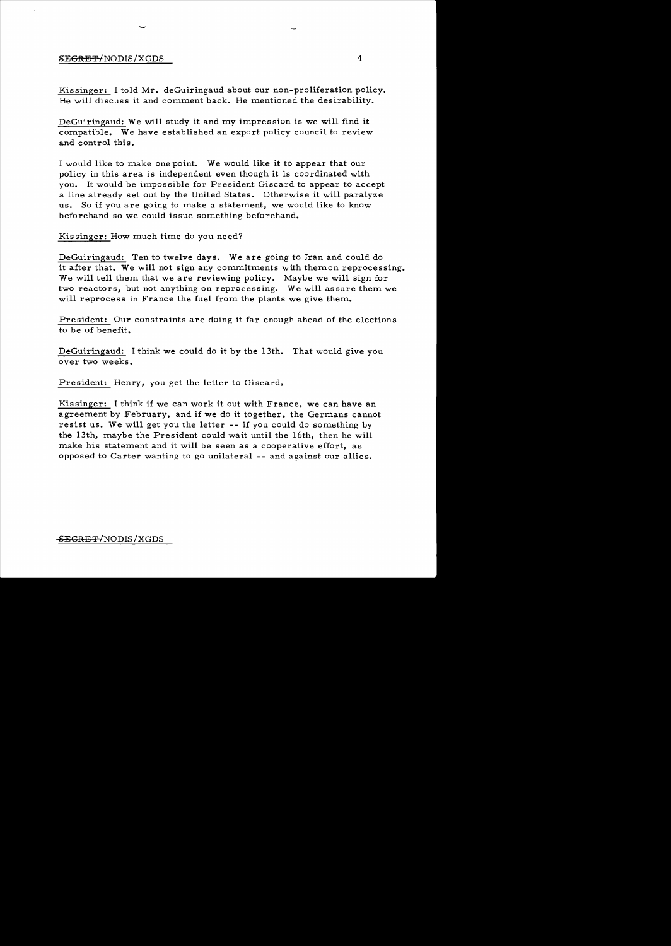## SECRET-MODIS/XGDS 4

Kissinger: I told Mr. deGuiringaud about our non-proliferation policy. He will discuss it and comment back. He mentioned the desirability.

DeGuiringaud: We will study it and my impression is we will find it compatible. We have established an export policy council to review and control this.

I would like to make one point. We would like it to appear that our policy in this area is independent even though it is coordinated with you. It would be impossible for President Giscard to appear to accept a line already set out by the United States. Otherwise it will paralyze us. So if you are going to make a statement, we would like to know beforehand so we could issue something beforehand.

Kissinger: How much time do you need?

DeGuiringaud: Ten to twelve days. We are going to Iran and could do it after that. We will not sign any commitments with themon reprocessing. We will tell them that we are reviewing policy. Maybe we will sign for two reactors, but not anything on reprocessing. We will assure them we will reprocess in France the fuel from the plants we give them.

President: Our constraints are doing it far enough ahead of the elections to be of benefit.

DeGuiringaud: I think we could do it by the 13th. That would give you over two weeks.

President: Henry, you get the letter to Giscard.

Kissinger: I think if we can work it out with France, we can have an agreement by February, and if we do it together, the Germans cannot resist us. We will get you the letter **--** if you could do something by the 13th, maybe the President could wait until the 16th, then he will make his statement and it will be seen as a cooperative effort, as opposed to Carter wanting to go unilateral -- and against our allies.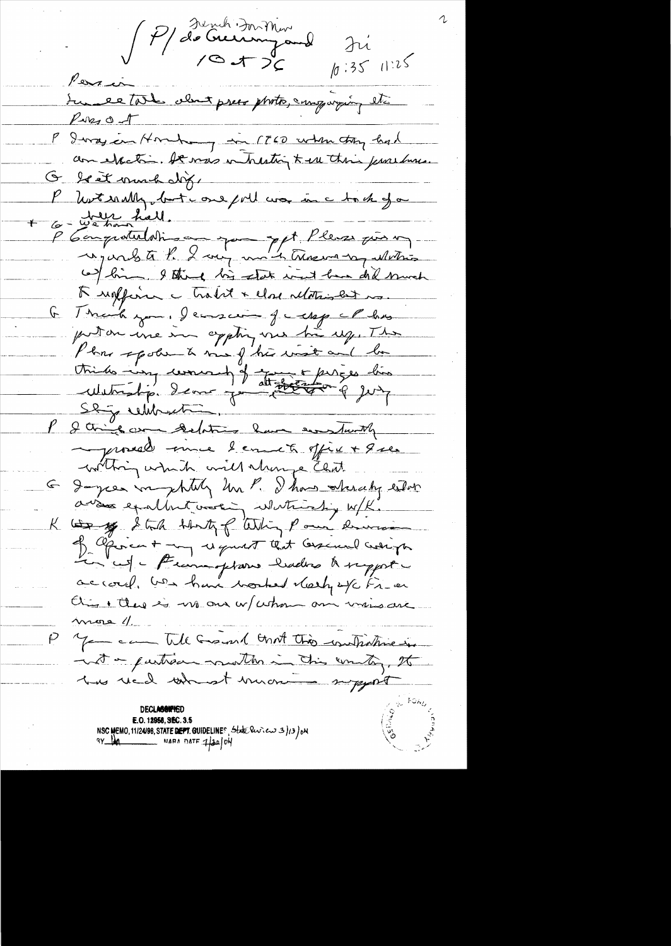P/ de Gunh Du Min Iri  $10:3511:25$ Persia Sur le tout clout price photo, employing etc  $PMSO-1$ P Imagin Hombon in 1760 when they had G le et mond dix. P hotsauly, but aus poil comme tout for 6 - We han hall. P 6 omportunisme par ppt Pleurs par 1 (a) bin, I think his state wint have did much A reaffirme - trabit + close relationships. Think you. I cancer of well of all has  $\mathcal{F}$ puton une im appling une hier up. The Plans spoken à me f'his inst and la tride implement of the first dis<br>Within I am you there a jury proceed unce bennet office + que withing which will things that Jayces mystily him P. I has steedy either avans exallent vooring whitering w/K. bo y Still that of Whin Pour dervis of Operant my request that lessured weapon Le cepte Francoptare badres à report accord. Us have tracked therefore Fries On there is no one w/ whom on write are  $m$ ere  $\theta$ you all Grand and this withstine in inst a partison months in this country, the has real at monte myself E.O. 12958, SEC. 3.5 NSC MEMO, 11/24/98, STATE DEPT. GUIDELINES, State Review 3/13/0M  $\frac{1}{4}$  MARA DATE  $\frac{1}{4}$  ON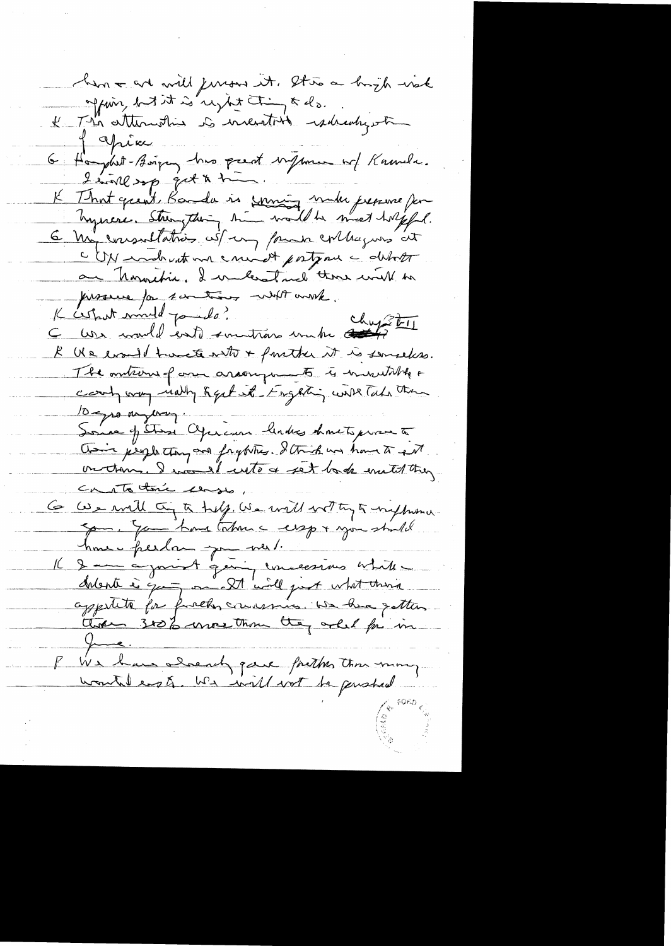han a art will jurous it. It to a bright wak offering but it is reglet thing & do.<br>Il The attention is incention radication Japier 6 Haydet-Boissen, hus prent vijsme w/ Knumer. I sink sp get & time. K That great, Banda is soming make prepare for hysicie. Strengthing time would be meet holffel. 6 My consulation with my four collagues at CDN modernt me count postpone a debot an hormetic, I we least not those will to processe for sontiers with work. K cestant mind points?<br>C cesta convold entit en trois un tre chapter R Us evant havete with + function it is sempless. The onterne of one aroung ments to innertalk & count way rially Regulate Engerting with Take them 10 gro myerry. Some of Stare Operaion links hauts prove to Coin people they are fraghter. I think we have to get Canato tomic canso Ce con will try to treff. We will wet try to influence com. You have taken a cesspre you shall home perdan pour ne 1. appetite for fractor convenier we have gatter. P We have already gave forther tom mong.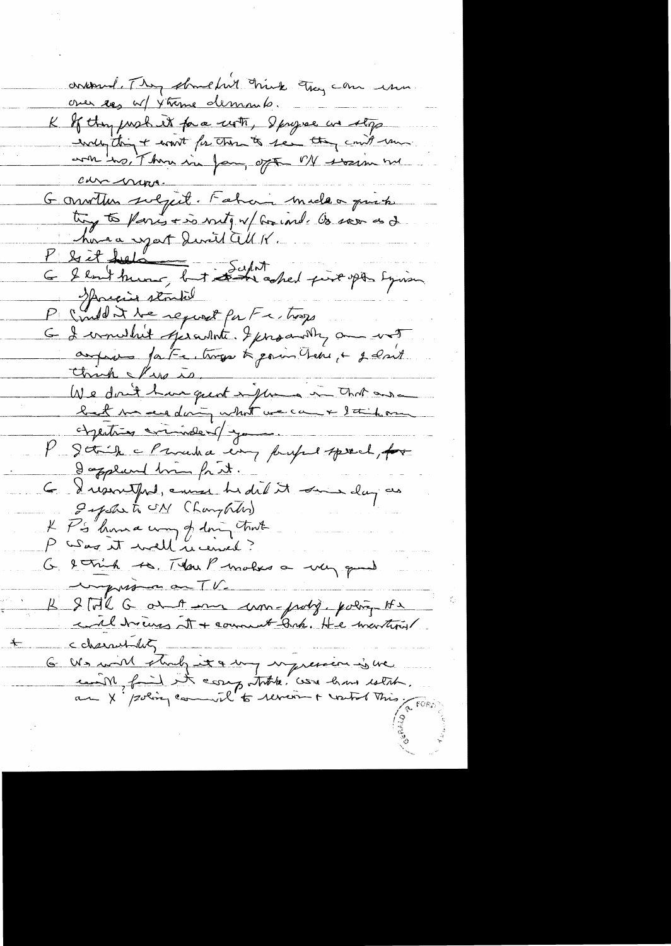contained. They shouldn't hink they can use over top w/ 4 time demands. K If they just it for a with, I progres we stop avoir tous there in fam, often of swain me Chr nurs. Garrither svejet. Fahan meleo priete try to paris + is nity of for ind. Os soon as I homa uport Quril all K. P & it hads<br>G & look hung but schol pix på Syrian Spricing stouted P (inder the report for Fr trop<br>G & constant operator & producting and wat Chrish & Pres is. We don't have quot injures in that one objecting commelent you P gotich a Procedura en profil speech, for I appland him frit. G Drisontprot, enner hidit it suis day as Infection Champton P's "home way of doing that  $\mu_{\scriptscriptstyle\perp}$ P was it well received? G. 2 Trich 10. The P makes a very good impression on TV. B 2 Tol 6 avril une une poly, politie He ccharactulety. 6 We will study it & un infrance is we